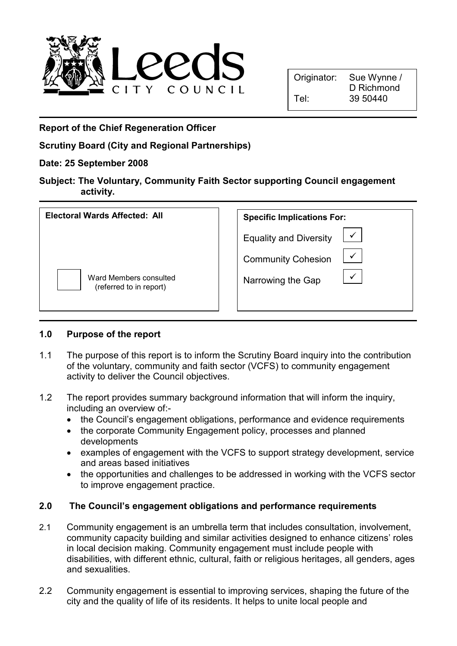

Report of the Chief Regeneration Officer

Scrutiny Board (City and Regional Partnerships)

## Date: 25 September 2008

|           | Subject: The Voluntary, Community Faith Sector supporting Council engagement |
|-----------|------------------------------------------------------------------------------|
| activity. |                                                                              |

| Electoral Wards Affected: All                     | <b>Specific Implications For:</b>         |  |
|---------------------------------------------------|-------------------------------------------|--|
|                                                   | <b>Equality and Diversity</b>             |  |
|                                                   | $\checkmark$<br><b>Community Cohesion</b> |  |
| Ward Members consulted<br>(referred to in report) | Narrowing the Gap                         |  |

#### 1.0 Purpose of the report

- 1.1 The purpose of this report is to inform the Scrutiny Board inquiry into the contribution of the voluntary, community and faith sector (VCFS) to community engagement activity to deliver the Council objectives.
- 1.2 The report provides summary background information that will inform the inquiry, including an overview of:-
	- the Council's engagement obligations, performance and evidence requirements
	- the corporate Community Engagement policy, processes and planned developments
	- examples of engagement with the VCFS to support strategy development, service and areas based initiatives
	- the opportunities and challenges to be addressed in working with the VCFS sector to improve engagement practice.

## 2.0 The Council's engagement obligations and performance requirements

- 2.1 Community engagement is an umbrella term that includes consultation, involvement, community capacity building and similar activities designed to enhance citizens' roles in local decision making. Community engagement must include people with disabilities, with different ethnic, cultural, faith or religious heritages, all genders, ages and sexualities.
- 2.2 Community engagement is essential to improving services, shaping the future of the city and the quality of life of its residents. It helps to unite local people and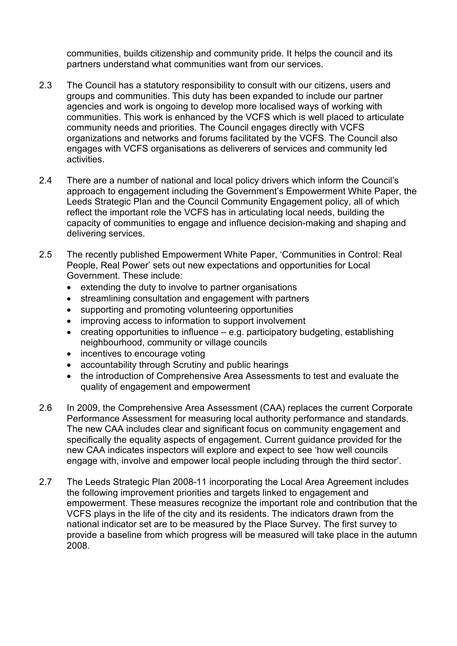communities, builds citizenship and community pride. It helps the council and its partners understand what communities want from our services.

- 2.3 The Council has a statutory responsibility to consult with our citizens, users and groups and communities. This duty has been expanded to include our partner agencies and work is ongoing to develop more localised ways of working with communities. This work is enhanced by the VCFS which is well placed to articulate community needs and priorities. The Council engages directly with VCFS organizations and networks and forums facilitated by the VCFS. The Council also engages with VCFS organisations as deliverers of services and community led activities.
- 2.4 There are a number of national and local policy drivers which inform the Council's approach to engagement including the Government's Empowerment White Paper, the Leeds Strategic Plan and the Council Community Engagement policy, all of which reflect the important role the VCFS has in articulating local needs, building the capacity of communities to engage and influence decision-making and shaping and delivering services.
- 2.5 The recently published Empowerment White Paper, 'Communities in Control: Real People, Real Power' sets out new expectations and opportunities for Local Government. These include:
	- extending the duty to involve to partner organisations
	- streamlining consultation and engagement with partners
	- supporting and promoting volunteering opportunities
	- improving access to information to support involvement
	- creating opportunities to influence  $-$  e.g. participatory budgeting, establishing neighbourhood, community or village councils
	- incentives to encourage voting
	- accountability through Scrutiny and public hearings
	- the introduction of Comprehensive Area Assessments to test and evaluate the quality of engagement and empowerment
- 2.6 In 2009, the Comprehensive Area Assessment (CAA) replaces the current Corporate Performance Assessment for measuring local authority performance and standards. The new CAA includes clear and significant focus on community engagement and specifically the equality aspects of engagement. Current guidance provided for the new CAA indicates inspectors will explore and expect to see 'how well councils engage with, involve and empower local people including through the third sector'.
- 2.7 The Leeds Strategic Plan 2008-11 incorporating the Local Area Agreement includes the following improvement priorities and targets linked to engagement and empowerment. These measures recognize the important role and contribution that the VCFS plays in the life of the city and its residents. The indicators drawn from the national indicator set are to be measured by the Place Survey. The first survey to provide a baseline from which progress will be measured will take place in the autumn 2008.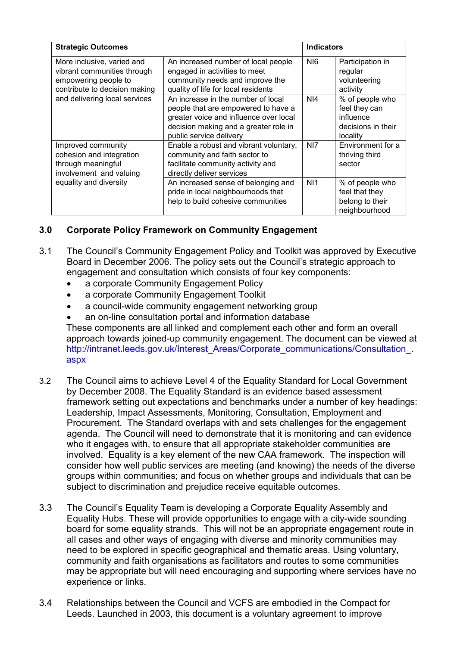| <b>Strategic Outcomes</b>                                                                                                                           |                                                                                                                                                                                         | <b>Indicators</b> |                                                                                 |
|-----------------------------------------------------------------------------------------------------------------------------------------------------|-----------------------------------------------------------------------------------------------------------------------------------------------------------------------------------------|-------------------|---------------------------------------------------------------------------------|
| More inclusive, varied and<br>vibrant communities through<br>empowering people to<br>contribute to decision making<br>and delivering local services | An increased number of local people<br>engaged in activities to meet<br>community needs and improve the<br>quality of life for local residents                                          | N <sub>16</sub>   | Participation in<br>regular<br>volunteering<br>activity                         |
|                                                                                                                                                     | An increase in the number of local<br>people that are empowered to have a<br>greater voice and influence over local<br>decision making and a greater role in<br>public service delivery | NI4               | % of people who<br>feel they can<br>influence<br>decisions in their<br>locality |
| Improved community<br>cohesion and integration<br>through meaningful<br>involvement and valuing<br>equality and diversity                           | Enable a robust and vibrant voluntary,<br>community and faith sector to<br>facilitate community activity and<br>directly deliver services                                               | NI7               | Environment for a<br>thriving third<br>sector                                   |
|                                                                                                                                                     | An increased sense of belonging and<br>pride in local neighbourhoods that<br>help to build cohesive communities                                                                         | N <sub>1</sub>    | % of people who<br>feel that they<br>belong to their<br>neighbourhood           |

#### 3.0 Corporate Policy Framework on Community Engagement

- 3.1 The Council's Community Engagement Policy and Toolkit was approved by Executive Board in December 2006. The policy sets out the Council's strategic approach to engagement and consultation which consists of four key components:
	- a corporate Community Engagement Policy
	- a corporate Community Engagement Toolkit
	- a council-wide community engagement networking group
	- an on-line consultation portal and information database These components are all linked and complement each other and form an overall

approach towards joined-up community engagement. The document can be viewed at http://intranet.leeds.gov.uk/Interest\_Areas/Corporate\_communications/Consultation\_. aspx

- 3.2 The Council aims to achieve Level 4 of the Equality Standard for Local Government by December 2008. The Equality Standard is an evidence based assessment framework setting out expectations and benchmarks under a number of key headings: Leadership, Impact Assessments, Monitoring, Consultation, Employment and Procurement. The Standard overlaps with and sets challenges for the engagement agenda. The Council will need to demonstrate that it is monitoring and can evidence who it engages with, to ensure that all appropriate stakeholder communities are involved. Equality is a key element of the new CAA framework. The inspection will consider how well public services are meeting (and knowing) the needs of the diverse groups within communities; and focus on whether groups and individuals that can be subject to discrimination and prejudice receive equitable outcomes.
- 3.3 The Council's Equality Team is developing a Corporate Equality Assembly and Equality Hubs. These will provide opportunities to engage with a city-wide sounding board for some equality strands. This will not be an appropriate engagement route in all cases and other ways of engaging with diverse and minority communities may need to be explored in specific geographical and thematic areas. Using voluntary, community and faith organisations as facilitators and routes to some communities may be appropriate but will need encouraging and supporting where services have no experience or links.
- 3.4 Relationships between the Council and VCFS are embodied in the Compact for Leeds. Launched in 2003, this document is a voluntary agreement to improve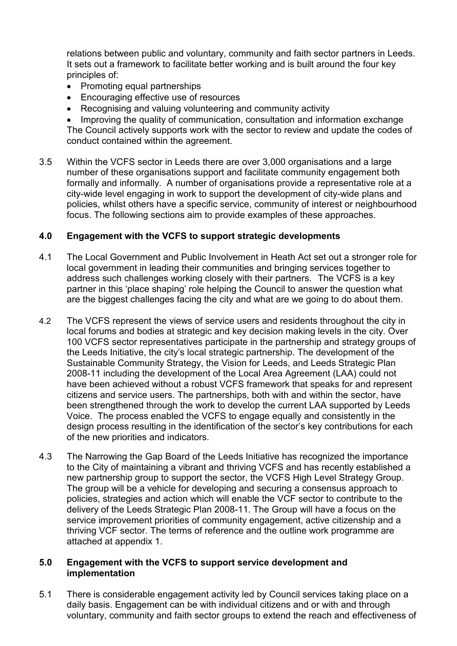relations between public and voluntary, community and faith sector partners in Leeds. It sets out a framework to facilitate better working and is built around the four key principles of:

- Promoting equal partnerships
- Encouraging effective use of resources
- Recognising and valuing volunteering and community activity
- Improving the quality of communication, consultation and information exchange The Council actively supports work with the sector to review and update the codes of conduct contained within the agreement.
- 3.5 Within the VCFS sector in Leeds there are over 3,000 organisations and a large number of these organisations support and facilitate community engagement both formally and informally. A number of organisations provide a representative role at a city-wide level engaging in work to support the development of city-wide plans and policies, whilst others have a specific service, community of interest or neighbourhood focus. The following sections aim to provide examples of these approaches.

#### 4.0 Engagement with the VCFS to support strategic developments

- 4.1 The Local Government and Public Involvement in Heath Act set out a stronger role for local government in leading their communities and bringing services together to address such challenges working closely with their partners. The VCFS is a key partner in this 'place shaping' role helping the Council to answer the question what are the biggest challenges facing the city and what are we going to do about them.
- 4.2 The VCFS represent the views of service users and residents throughout the city in local forums and bodies at strategic and key decision making levels in the city. Over 100 VCFS sector representatives participate in the partnership and strategy groups of the Leeds Initiative, the city's local strategic partnership. The development of the Sustainable Community Strategy, the Vision for Leeds, and Leeds Strategic Plan 2008-11 including the development of the Local Area Agreement (LAA) could not have been achieved without a robust VCFS framework that speaks for and represent citizens and service users. The partnerships, both with and within the sector, have been strengthened through the work to develop the current LAA supported by Leeds Voice. The process enabled the VCFS to engage equally and consistently in the design process resulting in the identification of the sector's key contributions for each of the new priorities and indicators.
- 4.3 The Narrowing the Gap Board of the Leeds Initiative has recognized the importance to the City of maintaining a vibrant and thriving VCFS and has recently established a new partnership group to support the sector, the VCFS High Level Strategy Group. The group will be a vehicle for developing and securing a consensus approach to policies, strategies and action which will enable the VCF sector to contribute to the delivery of the Leeds Strategic Plan 2008-11. The Group will have a focus on the service improvement priorities of community engagement, active citizenship and a thriving VCF sector. The terms of reference and the outline work programme are attached at appendix 1.

#### 5.0 Engagement with the VCFS to support service development and implementation

5.1 There is considerable engagement activity led by Council services taking place on a daily basis. Engagement can be with individual citizens and or with and through voluntary, community and faith sector groups to extend the reach and effectiveness of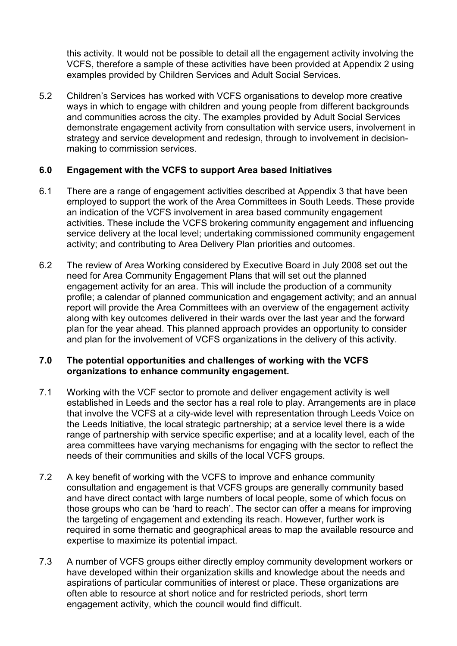this activity. It would not be possible to detail all the engagement activity involving the VCFS, therefore a sample of these activities have been provided at Appendix 2 using examples provided by Children Services and Adult Social Services.

5.2 Children's Services has worked with VCFS organisations to develop more creative ways in which to engage with children and young people from different backgrounds and communities across the city. The examples provided by Adult Social Services demonstrate engagement activity from consultation with service users, involvement in strategy and service development and redesign, through to involvement in decisionmaking to commission services.

#### 6.0 Engagement with the VCFS to support Area based Initiatives

- 6.1 There are a range of engagement activities described at Appendix 3 that have been employed to support the work of the Area Committees in South Leeds. These provide an indication of the VCFS involvement in area based community engagement activities. These include the VCFS brokering community engagement and influencing service delivery at the local level; undertaking commissioned community engagement activity; and contributing to Area Delivery Plan priorities and outcomes.
- 6.2 The review of Area Working considered by Executive Board in July 2008 set out the need for Area Community Engagement Plans that will set out the planned engagement activity for an area. This will include the production of a community profile; a calendar of planned communication and engagement activity; and an annual report will provide the Area Committees with an overview of the engagement activity along with key outcomes delivered in their wards over the last year and the forward plan for the year ahead. This planned approach provides an opportunity to consider and plan for the involvement of VCFS organizations in the delivery of this activity.

#### 7.0 The potential opportunities and challenges of working with the VCFS organizations to enhance community engagement.

- 7.1 Working with the VCF sector to promote and deliver engagement activity is well established in Leeds and the sector has a real role to play. Arrangements are in place that involve the VCFS at a city-wide level with representation through Leeds Voice on the Leeds Initiative, the local strategic partnership; at a service level there is a wide range of partnership with service specific expertise; and at a locality level, each of the area committees have varying mechanisms for engaging with the sector to reflect the needs of their communities and skills of the local VCFS groups.
- 7.2 A key benefit of working with the VCFS to improve and enhance community consultation and engagement is that VCFS groups are generally community based and have direct contact with large numbers of local people, some of which focus on those groups who can be 'hard to reach'. The sector can offer a means for improving the targeting of engagement and extending its reach. However, further work is required in some thematic and geographical areas to map the available resource and expertise to maximize its potential impact.
- 7.3 A number of VCFS groups either directly employ community development workers or have developed within their organization skills and knowledge about the needs and aspirations of particular communities of interest or place. These organizations are often able to resource at short notice and for restricted periods, short term engagement activity, which the council would find difficult.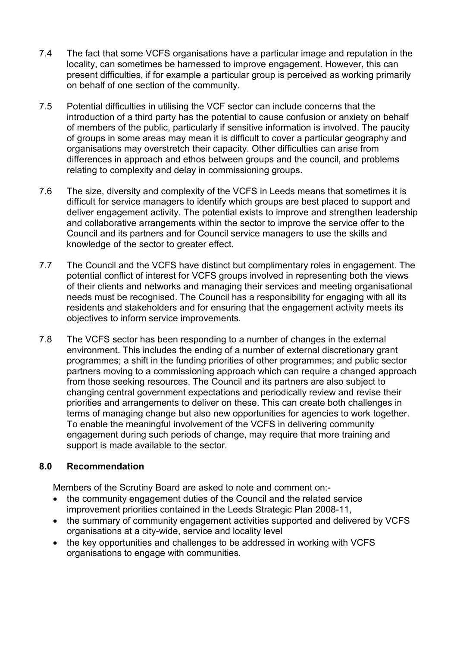- 7.4 The fact that some VCFS organisations have a particular image and reputation in the locality, can sometimes be harnessed to improve engagement. However, this can present difficulties, if for example a particular group is perceived as working primarily on behalf of one section of the community.
- 7.5 Potential difficulties in utilising the VCF sector can include concerns that the introduction of a third party has the potential to cause confusion or anxiety on behalf of members of the public, particularly if sensitive information is involved. The paucity of groups in some areas may mean it is difficult to cover a particular geography and organisations may overstretch their capacity. Other difficulties can arise from differences in approach and ethos between groups and the council, and problems relating to complexity and delay in commissioning groups.
- 7.6 The size, diversity and complexity of the VCFS in Leeds means that sometimes it is difficult for service managers to identify which groups are best placed to support and deliver engagement activity. The potential exists to improve and strengthen leadership and collaborative arrangements within the sector to improve the service offer to the Council and its partners and for Council service managers to use the skills and knowledge of the sector to greater effect.
- 7.7 The Council and the VCFS have distinct but complimentary roles in engagement. The potential conflict of interest for VCFS groups involved in representing both the views of their clients and networks and managing their services and meeting organisational needs must be recognised. The Council has a responsibility for engaging with all its residents and stakeholders and for ensuring that the engagement activity meets its objectives to inform service improvements.
- 7.8 The VCFS sector has been responding to a number of changes in the external environment. This includes the ending of a number of external discretionary grant programmes; a shift in the funding priorities of other programmes; and public sector partners moving to a commissioning approach which can require a changed approach from those seeking resources. The Council and its partners are also subject to changing central government expectations and periodically review and revise their priorities and arrangements to deliver on these. This can create both challenges in terms of managing change but also new opportunities for agencies to work together. To enable the meaningful involvement of the VCFS in delivering community engagement during such periods of change, may require that more training and support is made available to the sector.

#### 8.0 Recommendation

Members of the Scrutiny Board are asked to note and comment on:-

- the community engagement duties of the Council and the related service improvement priorities contained in the Leeds Strategic Plan 2008-11,
- the summary of community engagement activities supported and delivered by VCFS organisations at a city-wide, service and locality level
- the key opportunities and challenges to be addressed in working with VCFS organisations to engage with communities.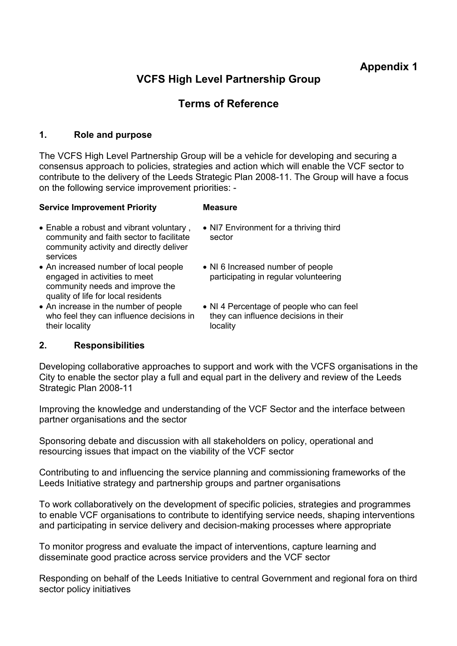# Appendix 1

# VCFS High Level Partnership Group

# Terms of Reference

#### 1. Role and purpose

The VCFS High Level Partnership Group will be a vehicle for developing and securing a consensus approach to policies, strategies and action which will enable the VCF sector to contribute to the delivery of the Leeds Strategic Plan 2008-11. The Group will have a focus on the following service improvement priorities: -

#### Service Improvement Priority Measure

- Enable a robust and vibrant voluntary , community and faith sector to facilitate community activity and directly deliver services
- An increased number of local people engaged in activities to meet community needs and improve the quality of life for local residents
- An increase in the number of people who feel they can influence decisions in their locality
- NI7 Environment for a thriving third sector
- NI 6 Increased number of people participating in regular volunteering
- NI 4 Percentage of people who can feel they can influence decisions in their locality

#### 2. Responsibilities

Developing collaborative approaches to support and work with the VCFS organisations in the City to enable the sector play a full and equal part in the delivery and review of the Leeds Strategic Plan 2008-11

Improving the knowledge and understanding of the VCF Sector and the interface between partner organisations and the sector

Sponsoring debate and discussion with all stakeholders on policy, operational and resourcing issues that impact on the viability of the VCF sector

Contributing to and influencing the service planning and commissioning frameworks of the Leeds Initiative strategy and partnership groups and partner organisations

To work collaboratively on the development of specific policies, strategies and programmes to enable VCF organisations to contribute to identifying service needs, shaping interventions and participating in service delivery and decision-making processes where appropriate

To monitor progress and evaluate the impact of interventions, capture learning and disseminate good practice across service providers and the VCF sector

Responding on behalf of the Leeds Initiative to central Government and regional fora on third sector policy initiatives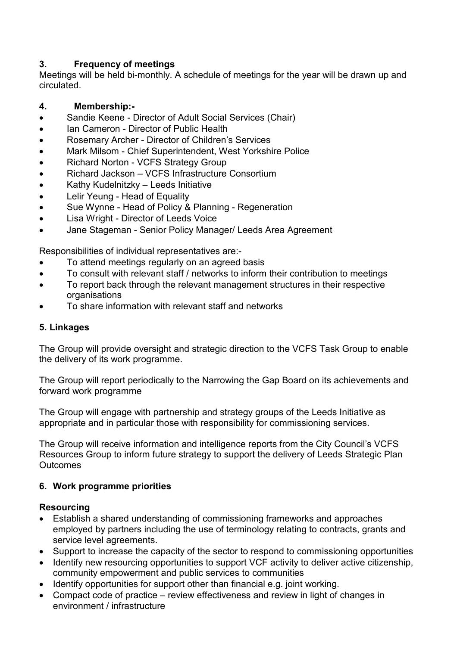## 3. Frequency of meetings

Meetings will be held bi-monthly. A schedule of meetings for the year will be drawn up and circulated.

## 4. Membership:-

- Sandie Keene Director of Adult Social Services (Chair)
- Ian Cameron Director of Public Health
- Rosemary Archer Director of Children's Services
- Mark Milsom Chief Superintendent, West Yorkshire Police
- Richard Norton VCFS Strategy Group
- Richard Jackson VCFS Infrastructure Consortium
- Kathy Kudelnitzky Leeds Initiative
- Lelir Yeung Head of Equality
- Sue Wynne Head of Policy & Planning Regeneration
- Lisa Wright Director of Leeds Voice
- Jane Stageman Senior Policy Manager/ Leeds Area Agreement

Responsibilities of individual representatives are:-

- To attend meetings regularly on an agreed basis
- To consult with relevant staff / networks to inform their contribution to meetings
- To report back through the relevant management structures in their respective organisations
- To share information with relevant staff and networks

## 5. Linkages

The Group will provide oversight and strategic direction to the VCFS Task Group to enable the delivery of its work programme.

The Group will report periodically to the Narrowing the Gap Board on its achievements and forward work programme

The Group will engage with partnership and strategy groups of the Leeds Initiative as appropriate and in particular those with responsibility for commissioning services.

The Group will receive information and intelligence reports from the City Council's VCFS Resources Group to inform future strategy to support the delivery of Leeds Strategic Plan **Outcomes** 

#### 6. Work programme priorities

#### Resourcing

- Establish a shared understanding of commissioning frameworks and approaches employed by partners including the use of terminology relating to contracts, grants and service level agreements.
- Support to increase the capacity of the sector to respond to commissioning opportunities
- Identify new resourcing opportunities to support VCF activity to deliver active citizenship, community empowerment and public services to communities
- Identify opportunities for support other than financial e.g. joint working.
- Compact code of practice review effectiveness and review in light of changes in environment / infrastructure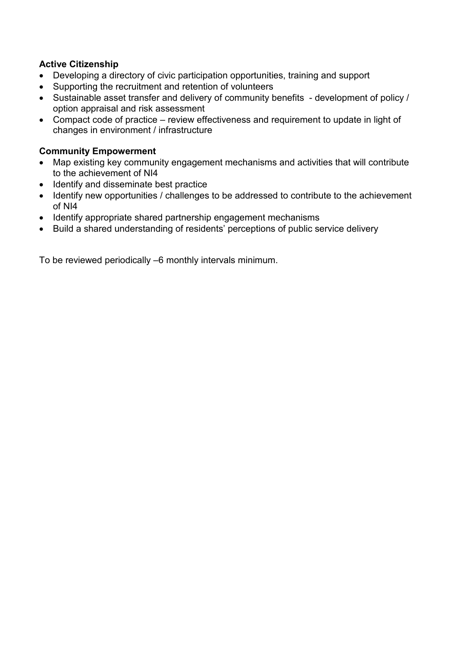## Active Citizenship

- Developing a directory of civic participation opportunities, training and support
- Supporting the recruitment and retention of volunteers
- Sustainable asset transfer and delivery of community benefits development of policy / option appraisal and risk assessment
- Compact code of practice review effectiveness and requirement to update in light of changes in environment / infrastructure

## Community Empowerment

- Map existing key community engagement mechanisms and activities that will contribute to the achievement of NI4
- Identify and disseminate best practice
- Identify new opportunities / challenges to be addressed to contribute to the achievement of NI4
- Identify appropriate shared partnership engagement mechanisms
- Build a shared understanding of residents' perceptions of public service delivery

To be reviewed periodically –6 monthly intervals minimum.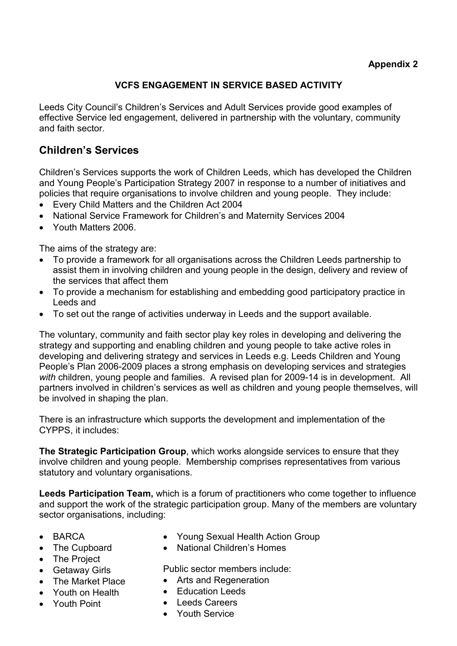## VCFS ENGAGEMENT IN SERVICE BASED ACTIVITY

Leeds City Council's Children's Services and Adult Services provide good examples of effective Service led engagement, delivered in partnership with the voluntary, community and faith sector.

## Children's Services

Children's Services supports the work of Children Leeds, which has developed the Children and Young People's Participation Strategy 2007 in response to a number of initiatives and policies that require organisations to involve children and young people. They include:

- Every Child Matters and the Children Act 2004
- National Service Framework for Children's and Maternity Services 2004
- Youth Matters 2006.

The aims of the strategy are:

- To provide a framework for all organisations across the Children Leeds partnership to assist them in involving children and young people in the design, delivery and review of the services that affect them
- To provide a mechanism for establishing and embedding good participatory practice in Leeds and
- To set out the range of activities underway in Leeds and the support available.

The voluntary, community and faith sector play key roles in developing and delivering the strategy and supporting and enabling children and young people to take active roles in developing and delivering strategy and services in Leeds e.g. Leeds Children and Young People's Plan 2006-2009 places a strong emphasis on developing services and strategies with children, young people and families. A revised plan for 2009-14 is in development. All partners involved in children's services as well as children and young people themselves, will be involved in shaping the plan.

There is an infrastructure which supports the development and implementation of the CYPPS, it includes:

The Strategic Participation Group, which works alongside services to ensure that they involve children and young people. Membership comprises representatives from various statutory and voluntary organisations.

Leeds Participation Team, which is a forum of practitioners who come together to influence and support the work of the strategic participation group. Many of the members are voluntary sector organisations, including:

- BARCA
- The Cupboard
- The Project
- Getaway Girls
- The Market Place
- Youth on Health
- Youth Point
- Young Sexual Health Action Group
- National Children's Homes

Public sector members include:

- Arts and Regeneration
- Education Leeds
- Leeds Careers
- Youth Service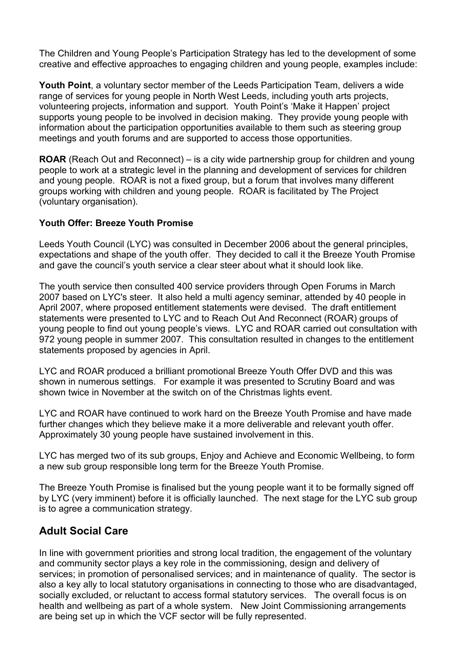The Children and Young People's Participation Strategy has led to the development of some creative and effective approaches to engaging children and young people, examples include:

Youth Point, a voluntary sector member of the Leeds Participation Team, delivers a wide range of services for young people in North West Leeds, including youth arts projects, volunteering projects, information and support. Youth Point's 'Make it Happen' project supports young people to be involved in decision making. They provide young people with information about the participation opportunities available to them such as steering group meetings and youth forums and are supported to access those opportunities.

ROAR (Reach Out and Reconnect) – is a city wide partnership group for children and young people to work at a strategic level in the planning and development of services for children and young people. ROAR is not a fixed group, but a forum that involves many different groups working with children and young people. ROAR is facilitated by The Project (voluntary organisation).

#### Youth Offer: Breeze Youth Promise

Leeds Youth Council (LYC) was consulted in December 2006 about the general principles, expectations and shape of the youth offer. They decided to call it the Breeze Youth Promise and gave the council's youth service a clear steer about what it should look like.

The youth service then consulted 400 service providers through Open Forums in March 2007 based on LYC's steer. It also held a multi agency seminar, attended by 40 people in April 2007, where proposed entitlement statements were devised. The draft entitlement statements were presented to LYC and to Reach Out And Reconnect (ROAR) groups of young people to find out young people's views. LYC and ROAR carried out consultation with 972 young people in summer 2007. This consultation resulted in changes to the entitlement statements proposed by agencies in April.

LYC and ROAR produced a brilliant promotional Breeze Youth Offer DVD and this was shown in numerous settings. For example it was presented to Scrutiny Board and was shown twice in November at the switch on of the Christmas lights event.

LYC and ROAR have continued to work hard on the Breeze Youth Promise and have made further changes which they believe make it a more deliverable and relevant youth offer. Approximately 30 young people have sustained involvement in this.

LYC has merged two of its sub groups, Enjoy and Achieve and Economic Wellbeing, to form a new sub group responsible long term for the Breeze Youth Promise.

The Breeze Youth Promise is finalised but the young people want it to be formally signed off by LYC (very imminent) before it is officially launched. The next stage for the LYC sub group is to agree a communication strategy.

## Adult Social Care

In line with government priorities and strong local tradition, the engagement of the voluntary and community sector plays a key role in the commissioning, design and delivery of services; in promotion of personalised services; and in maintenance of quality. The sector is also a key ally to local statutory organisations in connecting to those who are disadvantaged, socially excluded, or reluctant to access formal statutory services. The overall focus is on health and wellbeing as part of a whole system. New Joint Commissioning arrangements are being set up in which the VCF sector will be fully represented.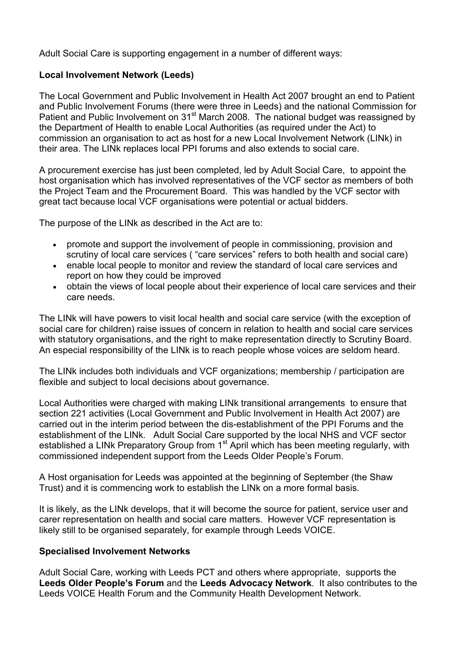Adult Social Care is supporting engagement in a number of different ways:

#### Local Involvement Network (Leeds)

The Local Government and Public Involvement in Health Act 2007 brought an end to Patient and Public Involvement Forums (there were three in Leeds) and the national Commission for Patient and Public Involvement on 31<sup>st</sup> March 2008. The national budget was reassigned by the Department of Health to enable Local Authorities (as required under the Act) to commission an organisation to act as host for a new Local Involvement Network (LINk) in their area. The LINk replaces local PPI forums and also extends to social care.

A procurement exercise has just been completed, led by Adult Social Care, to appoint the host organisation which has involved representatives of the VCF sector as members of both the Project Team and the Procurement Board. This was handled by the VCF sector with great tact because local VCF organisations were potential or actual bidders.

The purpose of the LINk as described in the Act are to:

- promote and support the involvement of people in commissioning, provision and scrutiny of local care services ( "care services" refers to both health and social care)
- enable local people to monitor and review the standard of local care services and report on how they could be improved
- obtain the views of local people about their experience of local care services and their care needs.

The LINk will have powers to visit local health and social care service (with the exception of social care for children) raise issues of concern in relation to health and social care services with statutory organisations, and the right to make representation directly to Scrutiny Board. An especial responsibility of the LINk is to reach people whose voices are seldom heard.

The LINk includes both individuals and VCF organizations; membership / participation are flexible and subject to local decisions about governance.

Local Authorities were charged with making LINk transitional arrangements to ensure that section 221 activities (Local Government and Public Involvement in Health Act 2007) are carried out in the interim period between the dis-establishment of the PPI Forums and the establishment of the LINk. Adult Social Care supported by the local NHS and VCF sector established a LINk Preparatory Group from 1<sup>st</sup> April which has been meeting regularly, with commissioned independent support from the Leeds Older People's Forum.

A Host organisation for Leeds was appointed at the beginning of September (the Shaw Trust) and it is commencing work to establish the LINk on a more formal basis.

It is likely, as the LINk develops, that it will become the source for patient, service user and carer representation on health and social care matters. However VCF representation is likely still to be organised separately, for example through Leeds VOICE.

#### Specialised Involvement Networks

Adult Social Care, working with Leeds PCT and others where appropriate, supports the Leeds Older People's Forum and the Leeds Advocacy Network. It also contributes to the Leeds VOICE Health Forum and the Community Health Development Network.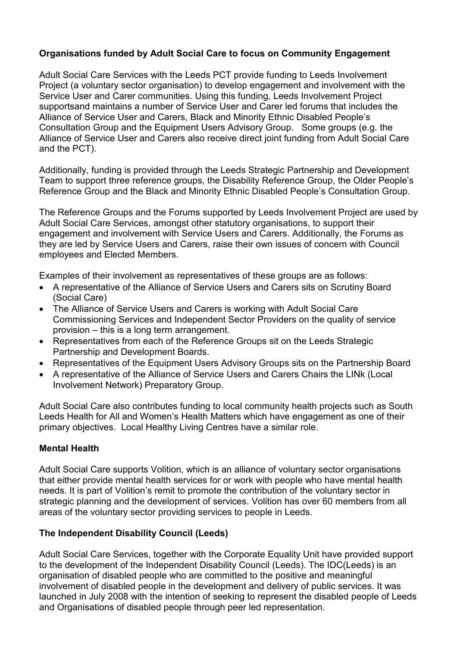## Organisations funded by Adult Social Care to focus on Community Engagement

Adult Social Care Services with the Leeds PCT provide funding to Leeds Involvement Project (a voluntary sector organisation) to develop engagement and involvement with the Service User and Carer communities. Using this funding, Leeds Involvement Project supportsand maintains a number of Service User and Carer led forums that includes the Alliance of Service User and Carers, Black and Minority Ethnic Disabled People's Consultation Group and the Equipment Users Advisory Group. Some groups (e.g. the Alliance of Service User and Carers also receive direct joint funding from Adult Social Care and the PCT).

Additionally, funding is provided through the Leeds Strategic Partnership and Development Team to support three reference groups, the Disability Reference Group, the Older People's Reference Group and the Black and Minority Ethnic Disabled People's Consultation Group.

The Reference Groups and the Forums supported by Leeds Involvement Project are used by Adult Social Care Services, amongst other statutory organisations, to support their engagement and involvement with Service Users and Carers. Additionally, the Forums as they are led by Service Users and Carers, raise their own issues of concern with Council employees and Elected Members.

Examples of their involvement as representatives of these groups are as follows:

- A representative of the Alliance of Service Users and Carers sits on Scrutiny Board (Social Care)
- The Alliance of Service Users and Carers is working with Adult Social Care Commissioning Services and Independent Sector Providers on the quality of service provision – this is a long term arrangement.
- Representatives from each of the Reference Groups sit on the Leeds Strategic Partnership and Development Boards.
- Representatives of the Equipment Users Advisory Groups sits on the Partnership Board
- A representative of the Alliance of Service Users and Carers Chairs the LINk (Local Involvement Network) Preparatory Group.

Adult Social Care also contributes funding to local community health projects such as South Leeds Health for All and Women's Health Matters which have engagement as one of their primary objectives. Local Healthy Living Centres have a similar role.

#### Mental Health

Adult Social Care supports Volition, which is an alliance of voluntary sector organisations that either provide mental health services for or work with people who have mental health needs. It is part of Volition's remit to promote the contribution of the voluntary sector in strategic planning and the development of services. Volition has over 60 members from all areas of the voluntary sector providing services to people in Leeds.

#### The Independent Disability Council (Leeds)

Adult Social Care Services, together with the Corporate Equality Unit have provided support to the development of the Independent Disability Council (Leeds). The IDC(Leeds) is an organisation of disabled people who are committed to the positive and meaningful involvement of disabled people in the development and delivery of public services. It was launched in July 2008 with the intention of seeking to represent the disabled people of Leeds and Organisations of disabled people through peer led representation.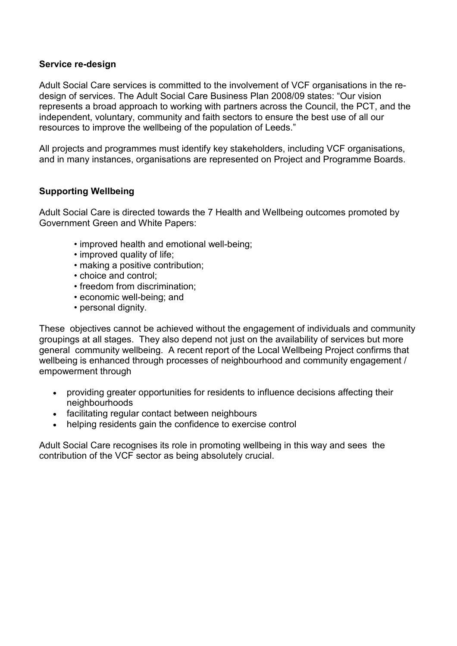#### Service re-design

Adult Social Care services is committed to the involvement of VCF organisations in the redesign of services. The Adult Social Care Business Plan 2008/09 states: "Our vision represents a broad approach to working with partners across the Council, the PCT, and the independent, voluntary, community and faith sectors to ensure the best use of all our resources to improve the wellbeing of the population of Leeds."

All projects and programmes must identify key stakeholders, including VCF organisations, and in many instances, organisations are represented on Project and Programme Boards.

#### Supporting Wellbeing

Adult Social Care is directed towards the 7 Health and Wellbeing outcomes promoted by Government Green and White Papers:

- improved health and emotional well-being;
- improved quality of life;
- making a positive contribution;
- choice and control;
- freedom from discrimination;
- economic well-being; and
- personal dignity.

These objectives cannot be achieved without the engagement of individuals and community groupings at all stages. They also depend not just on the availability of services but more general community wellbeing. A recent report of the Local Wellbeing Project confirms that wellbeing is enhanced through processes of neighbourhood and community engagement / empowerment through

- providing greater opportunities for residents to influence decisions affecting their neighbourhoods
- facilitating regular contact between neighbours
- helping residents gain the confidence to exercise control

Adult Social Care recognises its role in promoting wellbeing in this way and sees the contribution of the VCF sector as being absolutely crucial.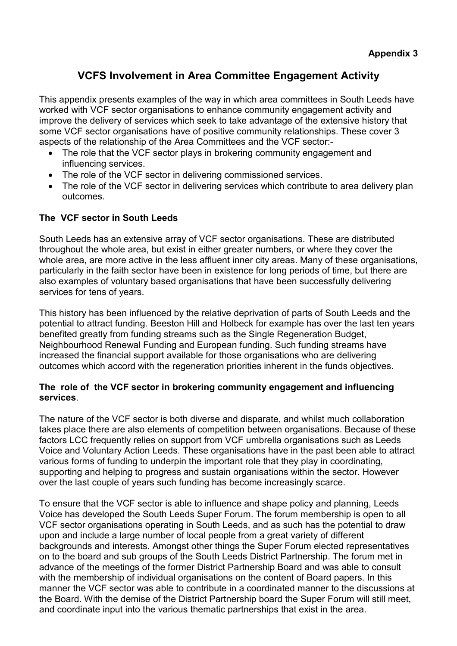# VCFS Involvement in Area Committee Engagement Activity

This appendix presents examples of the way in which area committees in South Leeds have worked with VCF sector organisations to enhance community engagement activity and improve the delivery of services which seek to take advantage of the extensive history that some VCF sector organisations have of positive community relationships. These cover 3 aspects of the relationship of the Area Committees and the VCF sector:-

- The role that the VCF sector plays in brokering community engagement and influencing services.
- The role of the VCF sector in delivering commissioned services.
- The role of the VCF sector in delivering services which contribute to area delivery plan outcomes.

#### The VCF sector in South Leeds

South Leeds has an extensive array of VCF sector organisations. These are distributed throughout the whole area, but exist in either greater numbers, or where they cover the whole area, are more active in the less affluent inner city areas. Many of these organisations, particularly in the faith sector have been in existence for long periods of time, but there are also examples of voluntary based organisations that have been successfully delivering services for tens of years.

This history has been influenced by the relative deprivation of parts of South Leeds and the potential to attract funding. Beeston Hill and Holbeck for example has over the last ten years benefited greatly from funding streams such as the Single Regeneration Budget, Neighbourhood Renewal Funding and European funding. Such funding streams have increased the financial support available for those organisations who are delivering outcomes which accord with the regeneration priorities inherent in the funds objectives.

#### The role of the VCF sector in brokering community engagement and influencing services.

The nature of the VCF sector is both diverse and disparate, and whilst much collaboration takes place there are also elements of competition between organisations. Because of these factors LCC frequently relies on support from VCF umbrella organisations such as Leeds Voice and Voluntary Action Leeds. These organisations have in the past been able to attract various forms of funding to underpin the important role that they play in coordinating. supporting and helping to progress and sustain organisations within the sector. However over the last couple of years such funding has become increasingly scarce.

To ensure that the VCF sector is able to influence and shape policy and planning, Leeds Voice has developed the South Leeds Super Forum. The forum membership is open to all VCF sector organisations operating in South Leeds, and as such has the potential to draw upon and include a large number of local people from a great variety of different backgrounds and interests. Amongst other things the Super Forum elected representatives on to the board and sub groups of the South Leeds District Partnership. The forum met in advance of the meetings of the former District Partnership Board and was able to consult with the membership of individual organisations on the content of Board papers. In this manner the VCF sector was able to contribute in a coordinated manner to the discussions at the Board. With the demise of the District Partnership board the Super Forum will still meet, and coordinate input into the various thematic partnerships that exist in the area.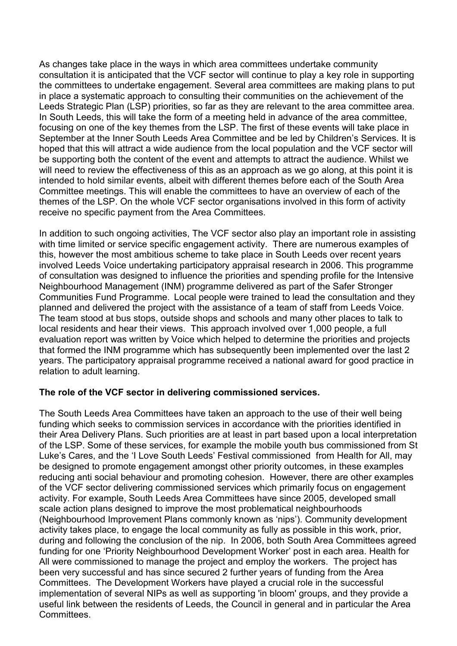As changes take place in the ways in which area committees undertake community consultation it is anticipated that the VCF sector will continue to play a key role in supporting the committees to undertake engagement. Several area committees are making plans to put in place a systematic approach to consulting their communities on the achievement of the Leeds Strategic Plan (LSP) priorities, so far as they are relevant to the area committee area. In South Leeds, this will take the form of a meeting held in advance of the area committee, focusing on one of the key themes from the LSP. The first of these events will take place in September at the Inner South Leeds Area Committee and be led by Children's Services. It is hoped that this will attract a wide audience from the local population and the VCF sector will be supporting both the content of the event and attempts to attract the audience. Whilst we will need to review the effectiveness of this as an approach as we go along, at this point it is intended to hold similar events, albeit with different themes before each of the South Area Committee meetings. This will enable the committees to have an overview of each of the themes of the LSP. On the whole VCF sector organisations involved in this form of activity receive no specific payment from the Area Committees.

In addition to such ongoing activities, The VCF sector also play an important role in assisting with time limited or service specific engagement activity. There are numerous examples of this, however the most ambitious scheme to take place in South Leeds over recent years involved Leeds Voice undertaking participatory appraisal research in 2006. This programme of consultation was designed to influence the priorities and spending profile for the Intensive Neighbourhood Management (INM) programme delivered as part of the Safer Stronger Communities Fund Programme. Local people were trained to lead the consultation and they planned and delivered the project with the assistance of a team of staff from Leeds Voice. The team stood at bus stops, outside shops and schools and many other places to talk to local residents and hear their views. This approach involved over 1,000 people, a full evaluation report was written by Voice which helped to determine the priorities and projects that formed the INM programme which has subsequently been implemented over the last 2 years. The participatory appraisal programme received a national award for good practice in relation to adult learning.

#### The role of the VCF sector in delivering commissioned services.

The South Leeds Area Committees have taken an approach to the use of their well being funding which seeks to commission services in accordance with the priorities identified in their Area Delivery Plans. Such priorities are at least in part based upon a local interpretation of the LSP. Some of these services, for example the mobile youth bus commissioned from St Luke's Cares, and the 'I Love South Leeds' Festival commissioned from Health for All, may be designed to promote engagement amongst other priority outcomes, in these examples reducing anti social behaviour and promoting cohesion. However, there are other examples of the VCF sector delivering commissioned services which primarily focus on engagement activity. For example, South Leeds Area Committees have since 2005, developed small scale action plans designed to improve the most problematical neighbourhoods (Neighbourhood Improvement Plans commonly known as 'nips'). Community development activity takes place, to engage the local community as fully as possible in this work, prior, during and following the conclusion of the nip. In 2006, both South Area Committees agreed funding for one 'Priority Neighbourhood Development Worker' post in each area. Health for All were commissioned to manage the project and employ the workers. The project has been very successful and has since secured 2 further years of funding from the Area Committees. The Development Workers have played a crucial role in the successful implementation of several NIPs as well as supporting 'in bloom' groups, and they provide a useful link between the residents of Leeds, the Council in general and in particular the Area Committees.